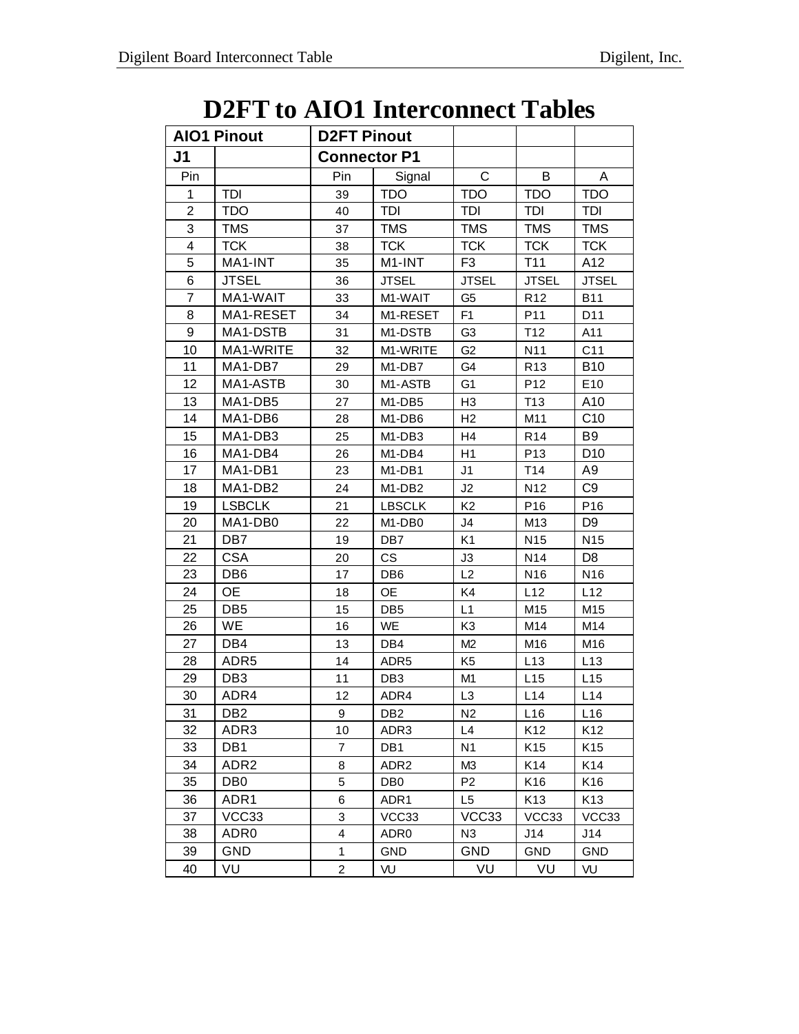| <b>D2FT</b> to AIO1 Interconnect Tables |  |  |
|-----------------------------------------|--|--|
|-----------------------------------------|--|--|

| <b>AIO1 Pinout</b><br><b>D2FT Pinout</b> |                      |                     |                                 |                |                 |                 |
|------------------------------------------|----------------------|---------------------|---------------------------------|----------------|-----------------|-----------------|
| J1                                       |                      | <b>Connector P1</b> |                                 |                |                 |                 |
| Pin                                      |                      | Pin                 | Signal                          | $\mathsf{C}$   | B               | A               |
| 1                                        | TDI                  | 39                  | <b>TDO</b>                      | <b>TDO</b>     | <b>TDO</b>      | <b>TDO</b>      |
| $\overline{2}$                           | <b>TDO</b>           | 40                  | TDI                             | <b>TDI</b>     | TDI             | TDI             |
| 3                                        | <b>TMS</b>           | 37                  | <b>TMS</b>                      | <b>TMS</b>     | <b>TMS</b>      | <b>TMS</b>      |
| 4                                        | <b>TCK</b>           | 38                  | <b>TCK</b>                      | <b>TCK</b>     | <b>TCK</b>      | <b>TCK</b>      |
| 5                                        | MA <sub>1</sub> -INT | 35                  | M1-INT                          | F <sub>3</sub> | T <sub>11</sub> | A12             |
| 6                                        | <b>JTSEL</b>         | 36                  | <b>JTSEL</b>                    | <b>JTSEL</b>   | <b>JTSEL</b>    | <b>JTSEL</b>    |
| $\overline{7}$                           | MA1-WAIT             | 33                  | M1-WAIT                         | G <sub>5</sub> | R <sub>12</sub> | <b>B11</b>      |
| 8                                        | MA1-RESET            | 34                  | M1-RESET                        | F <sub>1</sub> | P11             | D <sub>11</sub> |
| 9                                        | MA1-DSTB             | 31                  | M1-DSTB                         | G <sub>3</sub> | T12             | A11             |
| 10                                       | MA1-WRITE            | 32                  | M1-WRITE                        | G <sub>2</sub> | N11             | C11             |
| 11                                       | MA1-DB7              | 29                  | M1-DB7                          | G4             | R <sub>13</sub> | <b>B10</b>      |
| 12                                       | MA1-ASTB             | 30                  | M1-ASTB                         | G <sub>1</sub> | P <sub>12</sub> | E10             |
| 13                                       | MA1-DB5              | 27                  | M1-DB5                          | H <sub>3</sub> | T <sub>13</sub> | A10             |
| 14                                       | MA1-DB6              | 28                  | M1-DB6                          | H2             | M11             | C <sub>10</sub> |
| 15                                       | MA1-DB3              | 25                  | M1-DB3                          | H <sub>4</sub> | R <sub>14</sub> | B <sub>9</sub>  |
| 16                                       | MA1-DB4              | 26                  | M1-DB4                          | H1             | P <sub>13</sub> | D <sub>10</sub> |
| 17                                       | MA1-DB1              | 23                  | M1-DB1                          | J1             | T14             | A9              |
| 18                                       | MA1-DB2              | 24                  | M1-DB2                          | J2             | N <sub>12</sub> | C <sub>9</sub>  |
| 19                                       | <b>LSBCLK</b>        | 21                  | <b>LBSCLK</b>                   | K <sub>2</sub> | P <sub>16</sub> | P16             |
| 20                                       | MA1-DB0              | 22                  | M <sub>1</sub> -DB <sub>0</sub> | $\sf J4$       | M <sub>13</sub> | D9              |
| 21                                       | DB7                  | 19                  | DB7                             | K <sub>1</sub> | N <sub>15</sub> | N <sub>15</sub> |
| 22                                       | <b>CSA</b>           | 20                  | <b>CS</b>                       | J3             | N <sub>14</sub> | D <sub>8</sub>  |
| 23                                       | DB <sub>6</sub>      | 17                  | DB <sub>6</sub>                 | L2             | N <sub>16</sub> | N16             |
| 24                                       | <b>OE</b>            | 18                  | <b>OE</b>                       | K4             | L12             | L12             |
| 25                                       | DB <sub>5</sub>      | 15                  | DB <sub>5</sub>                 | L1             | M15             | M15             |
| 26                                       | WE                   | 16                  | WE                              | K <sub>3</sub> | M14             | M14             |
| 27                                       | DB4                  | 13                  | DB4                             | M2             | M16             | M16             |
| 28                                       | ADR5                 | 14                  | ADR <sub>5</sub>                | K <sub>5</sub> | L <sub>13</sub> | L13             |
| 29                                       | DB <sub>3</sub>      | 11                  | DB <sub>3</sub>                 | M1             | L15             | L15             |
| 30                                       | ADR4                 | 12                  | ADR4                            | L <sub>3</sub> | L14             | L14             |
| 31                                       | DB <sub>2</sub>      | 9                   | DB <sub>2</sub>                 | N <sub>2</sub> | L16             | L16             |
| 32                                       | ADR3                 | 10                  | ADR3                            | L4             | K12             | K <sub>12</sub> |
| 33                                       | DB1                  | 7                   | DB1                             | N <sub>1</sub> | K15             | K <sub>15</sub> |
| 34                                       | ADR <sub>2</sub>     | 8                   | ADR <sub>2</sub>                | M3             | K14             | K14             |
| 35                                       | DB <sub>0</sub>      | 5                   | DB <sub>0</sub>                 | P <sub>2</sub> | K16             | K16             |
| 36                                       | ADR1                 | 6                   | ADR1                            | L5             | K13             | K13             |
| 37                                       | VCC33                | 3                   | VCC33                           | VCC33          | VCC33           | VCC33           |
| 38                                       | ADR <sub>0</sub>     | 4                   | ADR0                            | N <sub>3</sub> | J14             | J14             |
| 39                                       | <b>GND</b>           | 1                   | <b>GND</b>                      | <b>GND</b>     | <b>GND</b>      | GND             |
| 40                                       | VU                   | $\overline{a}$      | VU                              | VU             | VU              | VU              |